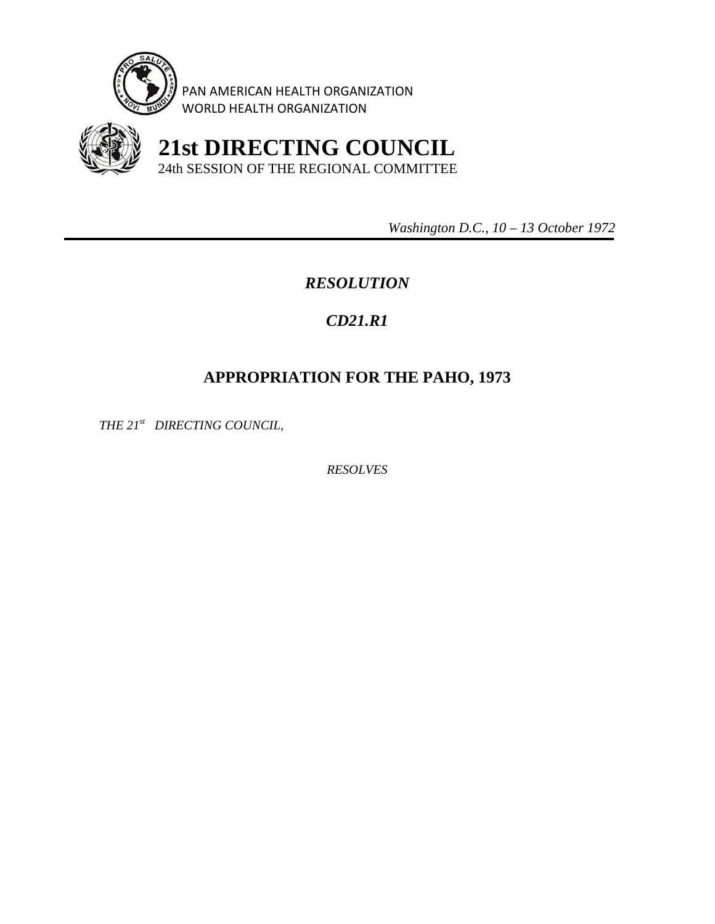

PAN AMERICAN HEALTH ORGANIZATION WORLD HEALTH ORGANIZATION



 **21st DIRECTING COUNCIL** 24th SESSION OF THE REGIONAL COMMITTEE

 *Washington D.C., 10 – 13 October 1972* 

## *RESOLUTION*

## *CD21.R1*

## **APPROPRIATION FOR THE PAHO, 1973**

*THE 21st DIRECTING COUNCIL,* 

*RESOLVES*